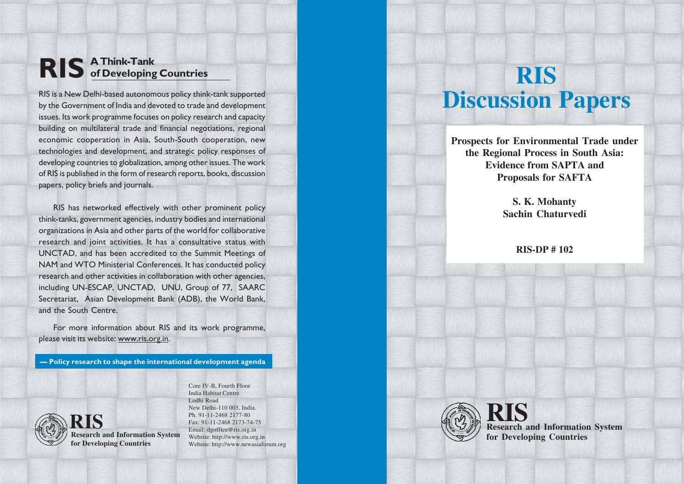# **RIS A Think-Tank of Developing Countries**

RIS is a New Delhi-based autonomous policy think-tank supported by the Government of India and devoted to trade and development issues. Its work programme focuses on policy research and capacity building on multilateral trade and financial negotiations, regional economic cooperation in Asia, South-South cooperation, new technologies and development, and strategic policy responses of developing countries to globalization, among other issues. The work of RIS is published in the form of research reports, books, discussion papers, policy briefs and journals.

RIS has networked effectively with other prominent policy think-tanks, government agencies, industry bodies and international organizations in Asia and other parts of the world for collaborative research and joint activities. It has a consultative status with UNCTAD, and has been accredited to the Summit Meetings of NAM and WTO Ministerial Conferences. It has conducted policy research and other activities in collaboration with other agencies, including UN-ESCAP, UNCTAD, UNU, Group of 77, SAARC Secretariat, Asian Development Bank (ADB), the World Bank, and the South Centre.

For more information about RIS and its work programme, please visit its website: www.ris.org.in.

**— Policy research to shape the international development agenda**



**Research and Information System RIS for Developing Countries**

Core IV-B, Fourth Floor India Habitat Centre Lodhi Road New Delhi-110 003, India. Ph. 91-11-2468 2177-80 Fax: 91-11-2468 2173-74-75 Email: dgoffice@ris.org.in Website: http://www.ris.org.in Website: http://www.newasiaforum.org

# **RIS Discussion Papers**

**Prospects for Environmental Trade under the Regional Process in South Asia: Evidence from SAPTA and Proposals for SAFTA**

> **S. K. Mohanty Sachin Chaturvedi**

> > **RIS-DP # 102**



**Research and Information System RIS for Developing Countries**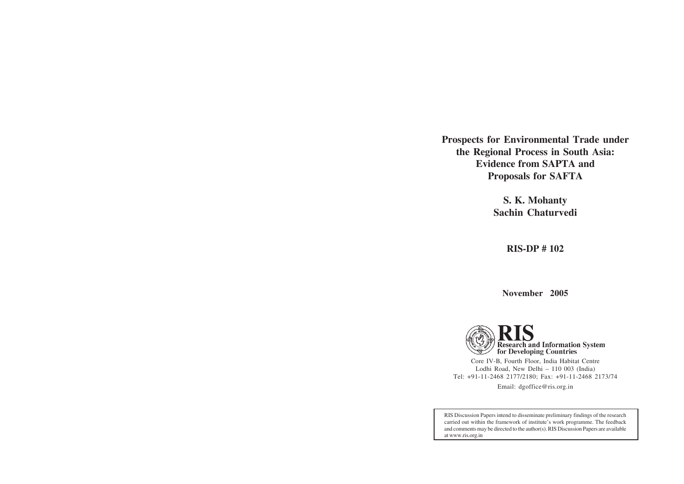**Prospects for Environmental Trade under the Regional Process in South Asia: Evidence from SAPTA and Proposals for SAFTA**

> **S. K. Mohanty Sachin Chaturvedi**

> > **RIS-DP # 102**

**November 2005**



Core IV-B, Fourth Floor, India Habitat Centre Lodhi Road, New Delhi – 110 003 (India) Tel: +91-11-2468 2177/2180; Fax: +91-11-2468 2173/74 Email: dgoffice@ris.org.in

RIS Discussion Papers intend to disseminate preliminary findings of the research carried out within the framework of institute's work programme. The feedback and comments may be directed to the author(s). RIS Discussion Papers are available at www.ris.org.in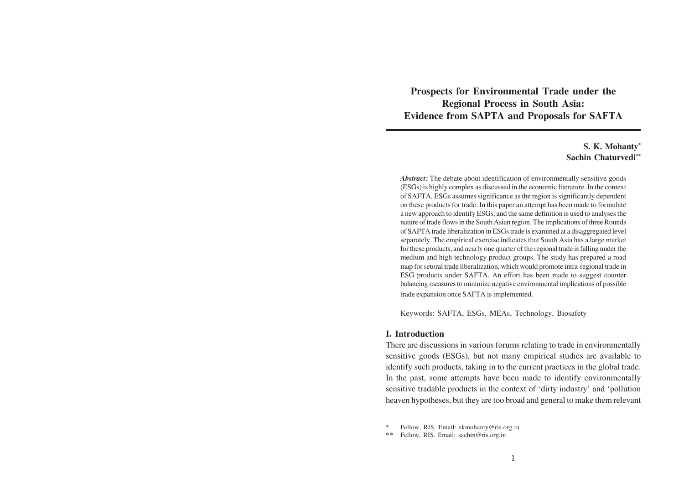**Prospects for Environmental Trade under the Regional Process in South Asia: Evidence from SAPTA and Proposals for SAFTA**

# **S. K. Mohanty\* Sachin Chaturvedi\*\***

*Abstract:* The debate about identification of environmentally sensitive goods (ESGs) is highly complex as discussed in the economic literature. In the context of SAFTA, ESGs assumes significance as the region is significantly dependent on these products for trade. In this paper an attempt has been made to formulate a new approach to identify ESGs, and the same definition is used to analyses the nature of trade flows in the South Asian region. The implications of three Rounds of SAPTA trade liberalization in ESGs trade is examined at a disaggregated level separately. The empirical exercise indicates that South Asia has a large market for these products, and nearly one quarter of the regional trade is falling under the medium and high technology product groups. The study has prepared a road map for setoral trade liberalization, which would promote intra-regional trade in ESG products under SAFTA. An effort has been made to suggest counter balancing measures to minimize negative environmental implications of possible trade expansion once SAFTA is implemented.

Keywords: SAFTA, ESGs, MEAs, Technology, Biosafety

#### **I. Introduction**

There are discussions in various forums relating to trade in environmentally sensitive goods (ESGs), but not many empirical studies are available to identify such products, taking in to the current practices in the global trade. In the past, some attempts have been made to identify environmentally sensitive tradable products in the context of 'dirty industry' and 'pollution heaven hypotheses, but they are too broad and general to make them relevant

Fellow, RIS. Email: skmohanty@ris.org.in

<sup>\*\*</sup> Fellow, RIS. Email: sachin@ris.org.in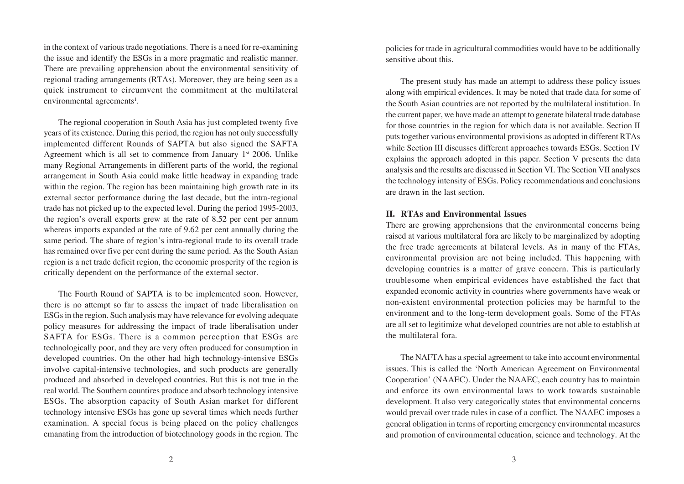in the context of various trade negotiations. There is a need for re-examining the issue and identify the ESGs in a more pragmatic and realistic manner. There are prevailing apprehension about the environmental sensitivity of regional trading arrangements (RTAs). Moreover, they are being seen as a quick instrument to circumvent the commitment at the multilateral environmental agreements<sup>1</sup>.

The regional cooperation in South Asia has just completed twenty five years of its existence. During this period, the region has not only successfully implemented different Rounds of SAPTA but also signed the SAFTA Agreement which is all set to commence from January  $1<sup>st</sup>$  2006. Unlike many Regional Arrangements in different parts of the world, the regional arrangement in South Asia could make little headway in expanding trade within the region. The region has been maintaining high growth rate in its external sector performance during the last decade, but the intra-regional trade has not picked up to the expected level. During the period 1995-2003, the region's overall exports grew at the rate of 8.52 per cent per annum whereas imports expanded at the rate of 9.62 per cent annually during the same period. The share of region's intra-regional trade to its overall trade has remained over five per cent during the same period. As the South Asian region is a net trade deficit region, the economic prosperity of the region is critically dependent on the performance of the external sector.

The Fourth Round of SAPTA is to be implemented soon. However, there is no attempt so far to assess the impact of trade liberalisation on ESGs in the region. Such analysis may have relevance for evolving adequate policy measures for addressing the impact of trade liberalisation under SAFTA for ESGs. There is a common perception that ESGs are technologically poor, and they are very often produced for consumption in developed countries. On the other had high technology-intensive ESGs involve capital-intensive technologies, and such products are generally produced and absorbed in developed countries. But this is not true in the real world. The Southern countires produce and absorb technology intensive ESGs. The absorption capacity of South Asian market for different technology intensive ESGs has gone up several times which needs further examination. A special focus is being placed on the policy challenges emanating from the introduction of biotechnology goods in the region. The

policies for trade in agricultural commodities would have to be additionally sensitive about this.

The present study has made an attempt to address these policy issues along with empirical evidences. It may be noted that trade data for some of the South Asian countries are not reported by the multilateral institution. In the current paper, we have made an attempt to generate bilateral trade database for those countries in the region for which data is not available. Section II puts together various environmental provisions as adopted in different RTAs while Section III discusses different approaches towards ESGs. Section IV explains the approach adopted in this paper. Section V presents the data analysis and the results are discussed in Section VI. The Section VII analyses the technology intensity of ESGs. Policy recommendations and conclusions are drawn in the last section.

#### **II. RTAs and Environmental Issues**

There are growing apprehensions that the environmental concerns being raised at various multilateral fora are likely to be marginalized by adopting the free trade agreements at bilateral levels. As in many of the FTAs, environmental provision are not being included. This happening with developing countries is a matter of grave concern. This is particularly troublesome when empirical evidences have established the fact that expanded economic activity in countries where governments have weak or non-existent environmental protection policies may be harmful to the environment and to the long-term development goals. Some of the FTAs are all set to legitimize what developed countries are not able to establish at the multilateral fora.

The NAFTA has a special agreement to take into account environmental issues. This is called the 'North American Agreement on Environmental Cooperation' (NAAEC). Under the NAAEC, each country has to maintain and enforce its own environmental laws to work towards sustainable development. It also very categorically states that environmental concerns would prevail over trade rules in case of a conflict. The NAAEC imposes a general obligation in terms of reporting emergency environmental measures and promotion of environmental education, science and technology. At the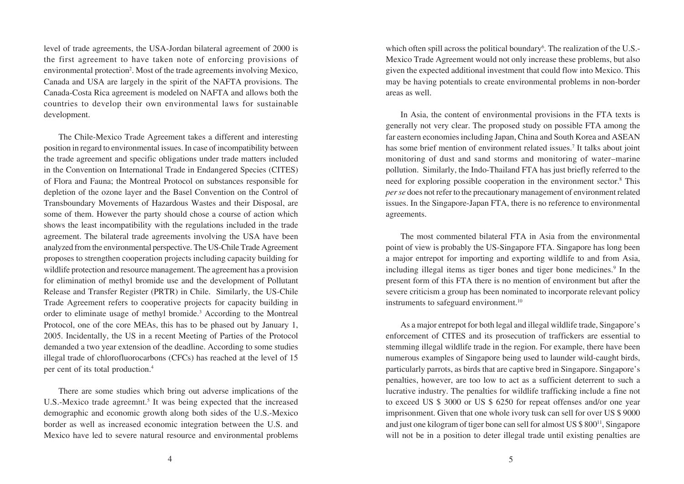level of trade agreements, the USA-Jordan bilateral agreement of 2000 is the first agreement to have taken note of enforcing provisions of environmental protection<sup>2</sup>. Most of the trade agreements involving Mexico, Canada and USA are largely in the spirit of the NAFTA provisions. The Canada-Costa Rica agreement is modeled on NAFTA and allows both the countries to develop their own environmental laws for sustainable development.

The Chile-Mexico Trade Agreement takes a different and interesting position in regard to environmental issues. In case of incompatibility between the trade agreement and specific obligations under trade matters included in the Convention on International Trade in Endangered Species (CITES) of Flora and Fauna; the Montreal Protocol on substances responsible for depletion of the ozone layer and the Basel Convention on the Control of Transboundary Movements of Hazardous Wastes and their Disposal, are some of them. However the party should chose a course of action which shows the least incompatibility with the regulations included in the trade agreement. The bilateral trade agreements involving the USA have been analyzed from the environmental perspective. The US-Chile Trade Agreement proposes to strengthen cooperation projects including capacity building for wildlife protection and resource management. The agreement has a provision for elimination of methyl bromide use and the development of Pollutant Release and Transfer Register (PRTR) in Chile. Similarly, the US-Chile Trade Agreement refers to cooperative projects for capacity building in order to eliminate usage of methyl bromide.<sup>3</sup> According to the Montreal Protocol, one of the core MEAs, this has to be phased out by January 1, 2005. Incidentally, the US in a recent Meeting of Parties of the Protocol demanded a two year extension of the deadline. According to some studies illegal trade of chlorofluorocarbons (CFCs) has reached at the level of 15 per cent of its total production.4

There are some studies which bring out adverse implications of the U.S.-Mexico trade agreemnt.<sup>5</sup> It was being expected that the increased demographic and economic growth along both sides of the U.S.-Mexico border as well as increased economic integration between the U.S. and Mexico have led to severe natural resource and environmental problems

which often spill across the political boundary<sup>6</sup>. The realization of the U.S.-Mexico Trade Agreement would not only increase these problems, but also given the expected additional investment that could flow into Mexico. This may be having potentials to create environmental problems in non-border areas as well.

In Asia, the content of environmental provisions in the FTA texts is generally not very clear. The proposed study on possible FTA among the far eastern economies including Japan, China and South Korea and ASEAN has some brief mention of environment related issues.<sup>7</sup> It talks about joint monitoring of dust and sand storms and monitoring of water–marine pollution. Similarly, the Indo-Thailand FTA has just briefly referred to the need for exploring possible cooperation in the environment sector.<sup>8</sup> This *per se* does not refer to the precautionary management of environment related issues. In the Singapore-Japan FTA, there is no reference to environmental agreements.

The most commented bilateral FTA in Asia from the environmental point of view is probably the US-Singapore FTA. Singapore has long been a major entrepot for importing and exporting wildlife to and from Asia, including illegal items as tiger bones and tiger bone medicines.<sup>9</sup> In the present form of this FTA there is no mention of environment but after the severe criticism a group has been nominated to incorporate relevant policy instruments to safeguard environment.<sup>10</sup>

As a major entrepot for both legal and illegal wildlife trade, Singapore's enforcement of CITES and its prosecution of traffickers are essential to stemming illegal wildlife trade in the region. For example, there have been numerous examples of Singapore being used to launder wild-caught birds, particularly parrots, as birds that are captive bred in Singapore. Singapore's penalties, however, are too low to act as a sufficient deterrent to such a lucrative industry. The penalties for wildlife trafficking include a fine not to exceed US \$ 3000 or US \$ 6250 for repeat offenses and/or one year imprisonment. Given that one whole ivory tusk can sell for over US \$ 9000 and just one kilogram of tiger bone can sell for almost US \$ 800<sup>11</sup>, Singapore will not be in a position to deter illegal trade until existing penalties are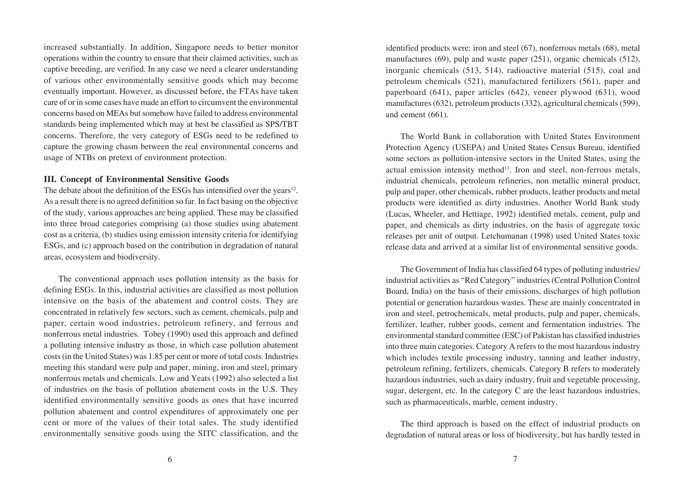increased substantially. In addition, Singapore needs to better monitor operations within the country to ensure that their claimed activities, such as captive breeding, are verified. In any case we need a clearer understanding of various other environmentally sensitive goods which may become eventually important. However, as discussed before, the FTAs have taken care of or in some cases have made an effort to circumvent the environmental concerns based on MEAs but somehow have failed to address environmental standards being implemented which may at best be classified as SPS/TBT concerns. Therefore, the very category of ESGs need to be redefined to capture the growing chasm between the real environmental concerns and usage of NTBs on pretext of environment protection.

# **III. Concept of Environmental Sensitive Goods**

The debate about the definition of the ESGs has intensified over the years<sup>12</sup>. As a result there is no agreed definition so far. In fact basing on the objective of the study, various approaches are being applied. These may be classified into three broad categories comprising (a) those studies using abatement cost as a criteria, (b) studies using emission intensity criteria for identifying ESGs, and (c) approach based on the contribution in degradation of natural areas, ecosystem and biodiversity.

The conventional approach uses pollution intensity as the basis for defining ESGs. In this, industrial activities are classified as most pollution intensive on the basis of the abatement and control costs. They are concentrated in relatively few sectors, such as cement, chemicals, pulp and paper, certain wood industries, petroleum refinery, and ferrous and nonferrous metal industries. Tobey (1990) used this approach and defined a polluting intensive industry as those, in which case pollution abatement costs (in the United States) was 1.85 per cent or more of total costs. Industries meeting this standard were pulp and paper, mining, iron and steel, primary nonferrous metals and chemicals. Low and Yeats (1992) also selected a list of industries on the basis of pollution abatement costs in the U.S. They identified environmentally sensitive goods as ones that have incurred pollution abatement and control expenditures of approximately one per cent or more of the values of their total sales. The study identified environmentally sensitive goods using the SITC classification, and the

identified products were: iron and steel (67), nonferrous metals (68), metal manufactures (69), pulp and waste paper (251), organic chemicals (512), inorganic chemicals (513, 514), radioactive material (515), coal and petroleum chemicals (521), manufactured fertilizers (561), paper and paperboard (641), paper articles (642), veneer plywood (631), wood manufactures (632), petroleum products (332), agricultural chemicals (599), and cement (661).

The World Bank in collaboration with United States Environment Protection Agency (USEPA) and United States Census Bureau, identified some sectors as pollution-intensive sectors in the United States, using the actual emission intensity method<sup>13</sup>. Iron and steel, non-ferrous metals, industrial chemicals, petroleum refineries, non metallic mineral product, pulp and paper, other chemicals, rubber products, leather products and metal products were identified as dirty industries. Another World Bank study (Lucas, Wheeler, and Hettiage, 1992) identified metals, cement, pulp and paper, and chemicals as dirty industries, on the basis of aggregate toxic releases per unit of output. Letchumanan (1998) used United States toxic release data and arrived at a similar list of environmental sensitive goods.

The Government of India has classified 64 types of polluting industries/ industrial activities as "Red Category" industries (Central Pollution Control Board, India) on the basis of their emissions, discharges of high pollution potential or generation hazardous wastes. These are mainly concentrated in iron and steel, petrochemicals, metal products, pulp and paper, chemicals, fertilizer, leather, rubber goods, cement and fermentation industries. The environmental standard committee (ESC) of Pakistan has classified industries into three main categories. Category A refers to the most hazardous industry which includes textile processing industry, tanning and leather industry, petroleum refining, fertilizers, chemicals. Category B refers to moderately hazardous industries, such as dairy industry, fruit and vegetable processing, sugar, detergent, etc. In the category C are the least hazardous industries, such as pharmaceuticals, marble, cement industry.

The third approach is based on the effect of industrial products on degradation of natural areas or loss of biodiversity, but has hardly tested in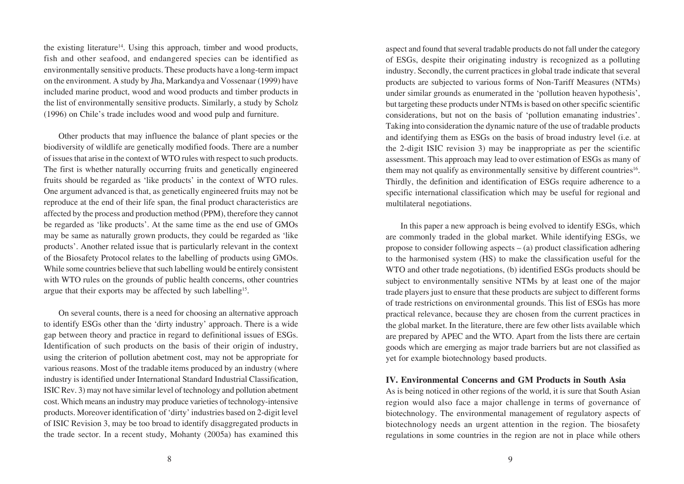the existing literature<sup>14</sup>. Using this approach, timber and wood products, fish and other seafood, and endangered species can be identified as environmentally sensitive products. These products have a long-term impact on the environment. A study by Jha, Markandya and Vossenaar (1999) have included marine product, wood and wood products and timber products in the list of environmentally sensitive products. Similarly, a study by Scholz (1996) on Chile's trade includes wood and wood pulp and furniture.

Other products that may influence the balance of plant species or the biodiversity of wildlife are genetically modified foods. There are a number of issues that arise in the context of WTO rules with respect to such products. The first is whether naturally occurring fruits and genetically engineered fruits should be regarded as 'like products' in the context of WTO rules. One argument advanced is that, as genetically engineered fruits may not be reproduce at the end of their life span, the final product characteristics are affected by the process and production method (PPM), therefore they cannot be regarded as 'like products'. At the same time as the end use of GMOs may be same as naturally grown products, they could be regarded as 'like products'. Another related issue that is particularly relevant in the context of the Biosafety Protocol relates to the labelling of products using GMOs. While some countries believe that such labelling would be entirely consistent with WTO rules on the grounds of public health concerns, other countries argue that their exports may be affected by such labelling<sup>15</sup>.

On several counts, there is a need for choosing an alternative approach to identify ESGs other than the 'dirty industry' approach. There is a wide gap between theory and practice in regard to definitional issues of ESGs. Identification of such products on the basis of their origin of industry, using the criterion of pollution abetment cost, may not be appropriate for various reasons. Most of the tradable items produced by an industry (where industry is identified under International Standard Industrial Classification, ISIC Rev. 3) may not have similar level of technology and pollution abetment cost. Which means an industry may produce varieties of technology-intensive products. Moreover identification of 'dirty' industries based on 2-digit level of ISIC Revision 3, may be too broad to identify disaggregated products in the trade sector. In a recent study, Mohanty (2005a) has examined this

aspect and found that several tradable products do not fall under the category of ESGs, despite their originating industry is recognized as a polluting industry. Secondly, the current practices in global trade indicate that several products are subjected to various forms of Non-Tariff Measures (NTMs) under similar grounds as enumerated in the 'pollution heaven hypothesis', but targeting these products under NTMs is based on other specific scientific considerations, but not on the basis of 'pollution emanating industries'. Taking into consideration the dynamic nature of the use of tradable products and identifying them as ESGs on the basis of broad industry level (i.e. at the 2-digit ISIC revision 3) may be inappropriate as per the scientific assessment. This approach may lead to over estimation of ESGs as many of them may not qualify as environmentally sensitive by different countries<sup>16</sup>. Thirdly, the definition and identification of ESGs require adherence to a specific international classification which may be useful for regional and multilateral negotiations.

In this paper a new approach is being evolved to identify ESGs, which are commonly traded in the global market. While identifying ESGs, we propose to consider following aspects  $-$  (a) product classification adhering to the harmonised system (HS) to make the classification useful for the WTO and other trade negotiations, (b) identified ESGs products should be subject to environmentally sensitive NTMs by at least one of the major trade players just to ensure that these products are subject to different forms of trade restrictions on environmental grounds. This list of ESGs has more practical relevance, because they are chosen from the current practices in the global market. In the literature, there are few other lists available which are prepared by APEC and the WTO. Apart from the lists there are certain goods which are emerging as major trade barriers but are not classified as yet for example biotechnology based products.

#### **IV. Environmental Concerns and GM Products in South Asia**

As is being noticed in other regions of the world, it is sure that South Asian region would also face a major challenge in terms of governance of biotechnology. The environmental management of regulatory aspects of biotechnology needs an urgent attention in the region. The biosafety regulations in some countries in the region are not in place while others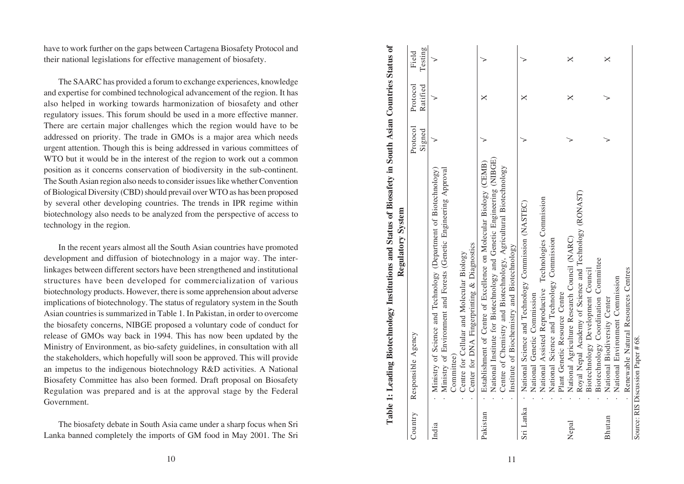have to work further on the gaps between Cartagena Biosafety Protocol and their national legislations for effective management of biosafety.

The SAARC has provided a forum to exchange experiences, knowledge and expertise for combined technological advancement of the region. It has also helped in working towards harmonization of biosafety and other regulatory issues. This forum should be used in a more effective manner. There are certain major challenges which the region would have to be addressed on priority. The trade in GMOs is a major area which needs urgent attention. Though this is being addressed in various committees of WTO but it would be in the interest of the region to work out a common position as it concerns conservation of biodiversity in the sub-continent. The South Asian region also needs to consider issues like whether Convention of Biological Diversity (CBD) should prevail over WTO as has been proposed by several other developing countries. The trends in IPR regime within biotechnology also needs to be analyzed from the perspective of access to technology in the region.

In the recent years almost all the South Asian countries have promoted development and diffusion of biotechnology in a major way. The interlinkages between different sectors have been strengthened and institutional structures have been developed for commercialization of various biotechnology products. However, there is some apprehension about adverse implications of biotechnology. The status of regulatory system in the South Asian countries is summarized in Table 1. In Pakistan, in order to overcome the biosafety concerns, NIBGE proposed a voluntary code of conduct for release of GMOs way back in 1994. This has now been updated by the Ministry of Environment, as bio-safety guidelines, in consultation with all the stakeholders, which hopefully will soon be approved. This will provide an impetus to the indigenous biotechnology R&D activities. A National Biosafety Committee has also been formed. Draft proposal on Biosafety Regulation was prepared and is at the approval stage by the Federal Government.

The biosafety debate in South Asia came under a sharp focus when Sri Lanka banned completely the imports of GM food in May 2001. The Sri

| 10                                                                                                                                                                                                                                                                                                                                                                                                                                                                                                                                                                                               |                                                                                                                                                      |                                                                                                                                                                                                                                                                                                 | 11                                                                                                                                                                                                                                                                                    |                                                                                                                                                                                                                                |                                                                                                                                                                                     |                                                                                                        |
|--------------------------------------------------------------------------------------------------------------------------------------------------------------------------------------------------------------------------------------------------------------------------------------------------------------------------------------------------------------------------------------------------------------------------------------------------------------------------------------------------------------------------------------------------------------------------------------------------|------------------------------------------------------------------------------------------------------------------------------------------------------|-------------------------------------------------------------------------------------------------------------------------------------------------------------------------------------------------------------------------------------------------------------------------------------------------|---------------------------------------------------------------------------------------------------------------------------------------------------------------------------------------------------------------------------------------------------------------------------------------|--------------------------------------------------------------------------------------------------------------------------------------------------------------------------------------------------------------------------------|-------------------------------------------------------------------------------------------------------------------------------------------------------------------------------------|--------------------------------------------------------------------------------------------------------|
| sia came under a sharp focus when Sri<br>rts of GM food in May 2001. The Sri                                                                                                                                                                                                                                                                                                                                                                                                                                                                                                                     | Country                                                                                                                                              | India                                                                                                                                                                                                                                                                                           | Pakistan                                                                                                                                                                                                                                                                              | Sri Lanka                                                                                                                                                                                                                      | Nepal                                                                                                                                                                               | Bhutan                                                                                                 |
| <b>South Asian countries have promoted</b><br>echnology in a major way. The inter-<br>ave been strengthened and institutional<br>for commercialization of various<br>ere is some apprehension about adverse<br>status of regulatory system in the South<br>ble 1. In Pakistan, in order to overcome<br>posed a voluntary code of conduct for<br>4. This has now been updated by the<br>ety guidelines, in consultation with all<br>ill soon be approved. This will provide<br>chnology R&D activities. A National<br>formed. Draft proposal on Biosafety<br>it the approval stage by the Federal | Table 1: Leading Biotechnology Institutions and Status of Biosafety in South Asian Countries Status of<br>Regulatory System<br>Agency<br>Responsible | Ministry of Environment and Forests (Genetic Engineering Approval<br>Ministry of Science and Technology (Department of Biotechnology)<br>Center for DNA Fingerprinting & Diagnostics<br>Centre for Cellular and Molecular Biology<br>Committee)<br>$\ddot{\phantom{a}}$<br>$\ddot{\phantom{a}}$ | National Institute for Biotechnology and Genetic Engineering (NIBGE)<br>Establishment of Centre of Excellence on Molecular Biology (CEMB)<br>Centre of Chemistry and Biotechnology, Agricultural Biotechnology<br>Institute of Biochemistry and Biotechnology<br>$\ddot{\phantom{0}}$ | Technologies Commission<br>National Science and Technology Commission (NASTEC)<br>National Science and Technology Commission<br>National Assisted Reproductive<br>Plant Genetic Resource Centre<br>National Genetic Commission | Royal Nepal Academy of Science and Technology (RONAST)<br>National Agriculture Research Council (NARC)<br>Biotechnology Coordination Committee<br>Biotechnology Development Council | Renewable Natural Resources Centres<br>National Environment Commission<br>National Biodiversity Center |
| t of the region to work out a common<br>in of biodiversity in the sub-continent.<br>consider issues like whether Convention<br>prevail over WTO as has been proposed<br>ties. The trends in IPR regime within<br>yzed from the perspective of access to                                                                                                                                                                                                                                                                                                                                          |                                                                                                                                                      |                                                                                                                                                                                                                                                                                                 |                                                                                                                                                                                                                                                                                       |                                                                                                                                                                                                                                |                                                                                                                                                                                     |                                                                                                        |
| s which the region would have to be<br>GMOs is a major area which needs<br>ng addressed in various committees of                                                                                                                                                                                                                                                                                                                                                                                                                                                                                 | Protocol<br>Signed                                                                                                                                   | ↘                                                                                                                                                                                                                                                                                               | $\check{ }$                                                                                                                                                                                                                                                                           | $\check{ }$                                                                                                                                                                                                                    | ↘                                                                                                                                                                                   | ↘                                                                                                      |
| m to exchange experiences, knowledge<br>gical advancement of the region. It has<br>armonization of biosafety and other<br>d be used in a more effective manner.                                                                                                                                                                                                                                                                                                                                                                                                                                  | Protocol<br>Ratified                                                                                                                                 |                                                                                                                                                                                                                                                                                                 | $\boldsymbol{\times}$                                                                                                                                                                                                                                                                 | $\boldsymbol{\times}$                                                                                                                                                                                                          | $\bowtie$                                                                                                                                                                           | ↘                                                                                                      |
| ween Cartagena Biosafety Protocol and<br>ve management of biosafety.                                                                                                                                                                                                                                                                                                                                                                                                                                                                                                                             | Testing<br>Field                                                                                                                                     |                                                                                                                                                                                                                                                                                                 | $\check{~}$                                                                                                                                                                                                                                                                           | $\check{ }$                                                                                                                                                                                                                    | $\pmb{\times}$                                                                                                                                                                      | $\times$                                                                                               |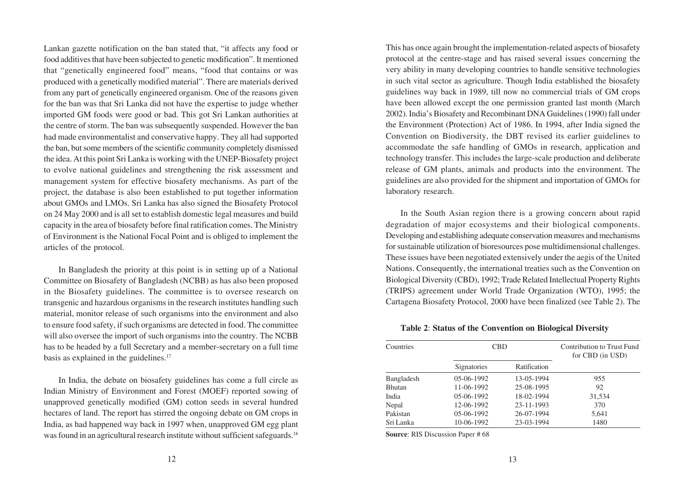Lankan gazette notification on the ban stated that, "it affects any food or food additives that have been subjected to genetic modification". It mentioned that "genetically engineered food" means, "food that contains or was produced with a genetically modified material". There are materials derived from any part of genetically engineered organism. One of the reasons given for the ban was that Sri Lanka did not have the expertise to judge whether imported GM foods were good or bad. This got Sri Lankan authorities at the centre of storm. The ban was subsequently suspended. However the ban had made environmentalist and conservative happy. They all had supported the ban, but some members of the scientific community completely dismissed the idea. At this point Sri Lanka is working with the UNEP-Biosafety project to evolve national guidelines and strengthening the risk assessment and management system for effective biosafety mechanisms. As part of the project, the database is also been established to put together information about GMOs and LMOs. Sri Lanka has also signed the Biosafety Protocol on 24 May 2000 and is all set to establish domestic legal measures and build capacity in the area of biosafety before final ratification comes. The Ministry of Environment is the National Focal Point and is obliged to implement the articles of the protocol.

In Bangladesh the priority at this point is in setting up of a National Committee on Biosafety of Bangladesh (NCBB) as has also been proposed in the Biosafety guidelines. The committee is to oversee research on transgenic and hazardous organisms in the research institutes handling such material, monitor release of such organisms into the environment and also to ensure food safety, if such organisms are detected in food. The committee will also oversee the import of such organisms into the country. The NCBB has to be headed by a full Secretary and a member-secretary on a full time basis as explained in the guidelines.<sup>17</sup>

In India, the debate on biosafety guidelines has come a full circle as Indian Ministry of Environment and Forest (MOEF) reported sowing of unapproved genetically modified (GM) cotton seeds in several hundred hectares of land. The report has stirred the ongoing debate on GM crops in India, as had happened way back in 1997 when, unapproved GM egg plant was found in an agricultural research institute without sufficient safeguards.<sup>18</sup> This has once again brought the implementation-related aspects of biosafety protocol at the centre-stage and has raised several issues concerning the very ability in many developing countries to handle sensitive technologies in such vital sector as agriculture. Though India established the biosafety guidelines way back in 1989, till now no commercial trials of GM crops have been allowed except the one permission granted last month (March 2002). India's Biosafety and Recombinant DNA Guidelines (1990) fall under the Environment (Protection) Act of 1986. In 1994, after India signed the Convention on Biodiversity, the DBT revised its earlier guidelines to accommodate the safe handling of GMOs in research, application and technology transfer. This includes the large-scale production and deliberate release of GM plants, animals and products into the environment. The guidelines are also provided for the shipment and importation of GMOs for laboratory research.

In the South Asian region there is a growing concern about rapid degradation of major ecosystems and their biological components. Developing and establishing adequate conservation measures and mechanisms for sustainable utilization of bioresources pose multidimensional challenges. These issues have been negotiated extensively under the aegis of the United Nations. Consequently, the international treaties such as the Convention on Biological Diversity (CBD), 1992; Trade Related Intellectual Property Rights (TRIPS) agreement under World Trade Organization (WTO), 1995; the Cartagena Biosafety Protocol, 2000 have been finalized (see Table 2). The

# **Table 2**: **Status of the Convention on Biological Diversity**

| Countries     | <b>CBD</b>   |              | <b>Contribution to Trust Fund</b><br>for CBD (in USD) |
|---------------|--------------|--------------|-------------------------------------------------------|
|               | Signatories  | Ratification |                                                       |
| Bangladesh    | $05-06-1992$ | 13-05-1994   | 955                                                   |
| <b>Bhutan</b> | 11-06-1992   | 25-08-1995   | 92                                                    |
| India         | $05-06-1992$ | 18-02-1994   | 31,534                                                |
| Nepal         | 12-06-1992   | 23-11-1993   | 370                                                   |
| Pakistan      | 05-06-1992   | 26-07-1994   | 5,641                                                 |
| Sri Lanka     | 10-06-1992   | 23-03-1994   | 1480                                                  |

**Source**: RIS Discussion Paper # 68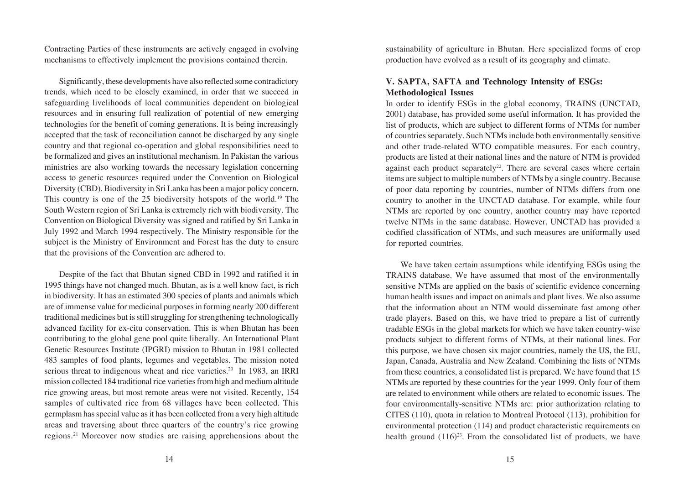Contracting Parties of these instruments are actively engaged in evolving mechanisms to effectively implement the provisions contained therein.

Significantly, these developments have also reflected some contradictory trends, which need to be closely examined, in order that we succeed in safeguarding livelihoods of local communities dependent on biological resources and in ensuring full realization of potential of new emerging technologies for the benefit of coming generations. It is being increasingly accepted that the task of reconciliation cannot be discharged by any single country and that regional co-operation and global responsibilities need to be formalized and gives an institutional mechanism. In Pakistan the various ministries are also working towards the necessary legislation concerning access to genetic resources required under the Convention on Biological Diversity (CBD). Biodiversity in Sri Lanka has been a major policy concern. This country is one of the 25 biodiversity hotspots of the world.19 The South Western region of Sri Lanka is extremely rich with biodiversity. The Convention on Biological Diversity was signed and ratified by Sri Lanka in July 1992 and March 1994 respectively. The Ministry responsible for the subject is the Ministry of Environment and Forest has the duty to ensure that the provisions of the Convention are adhered to.

Despite of the fact that Bhutan signed CBD in 1992 and ratified it in 1995 things have not changed much. Bhutan, as is a well know fact, is rich in biodiversity. It has an estimated 300 species of plants and animals which are of immense value for medicinal purposes in forming nearly 200 different traditional medicines but is still struggling for strengthening technologically advanced facility for ex-citu conservation. This is when Bhutan has been contributing to the global gene pool quite liberally. An International Plant Genetic Resources Institute (IPGRI) mission to Bhutan in 1981 collected 483 samples of food plants, legumes and vegetables. The mission noted serious threat to indigenous wheat and rice varieties.<sup>20</sup> In 1983, an IRRI mission collected 184 traditional rice varieties from high and medium altitude rice growing areas, but most remote areas were not visited. Recently, 154 samples of cultivated rice from 68 villages have been collected. This germplasm has special value as it has been collected from a very high altitude areas and traversing about three quarters of the country's rice growing regions.21 Moreover now studies are raising apprehensions about the sustainability of agriculture in Bhutan. Here specialized forms of crop production have evolved as a result of its geography and climate.

# **V. SAPTA, SAFTA and Technology Intensity of ESGs: Methodological Issues**

In order to identify ESGs in the global economy, TRAINS (UNCTAD, 2001) database, has provided some useful information. It has provided the list of products, which are subject to different forms of NTMs for number of countries separately. Such NTMs include both environmentally sensitive and other trade-related WTO compatible measures. For each country, products are listed at their national lines and the nature of NTM is provided against each product separately<sup>22</sup>. There are several cases where certain items are subject to multiple numbers of NTMs by a single country. Because of poor data reporting by countries, number of NTMs differs from one country to another in the UNCTAD database. For example, while four NTMs are reported by one country, another country may have reported twelve NTMs in the same database. However, UNCTAD has provided a codified classification of NTMs, and such measures are uniformally used for reported countries.

We have taken certain assumptions while identifying ESGs using the TRAINS database. We have assumed that most of the environmentally sensitive NTMs are applied on the basis of scientific evidence concerning human health issues and impact on animals and plant lives. We also assume that the information about an NTM would disseminate fast among other trade players. Based on this, we have tried to prepare a list of currently tradable ESGs in the global markets for which we have taken country-wise products subject to different forms of NTMs, at their national lines. For this purpose, we have chosen six major countries, namely the US, the EU, Japan, Canada, Australia and New Zealand. Combining the lists of NTMs from these countries, a consolidated list is prepared. We have found that 15 NTMs are reported by these countries for the year 1999. Only four of them are related to environment while others are related to economic issues. The four environmentally-sensitive NTMs are: prior authorization relating to CITES (110), quota in relation to Montreal Protocol (113), prohibition for environmental protection (114) and product characteristic requirements on health ground  $(116)^{23}$ . From the consolidated list of products, we have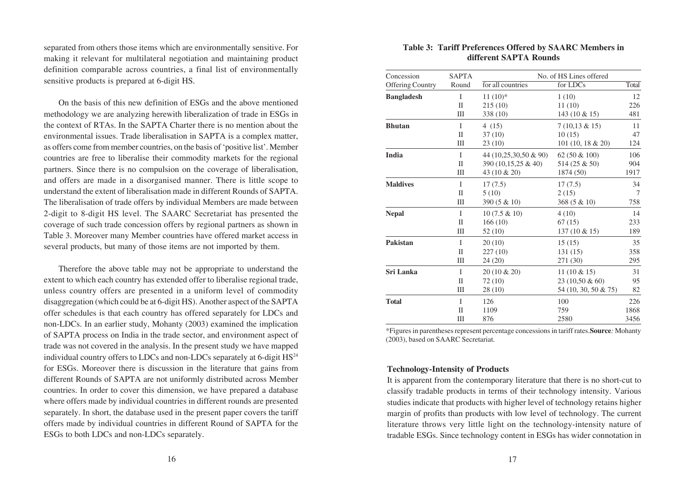separated from others those items which are environmentally sensitive. For making it relevant for multilateral negotiation and maintaining product definition comparable across countries, a final list of environmentally sensitive products is prepared at 6-digit HS.

On the basis of this new definition of ESGs and the above mentioned methodology we are analyzing herewith liberalization of trade in ESGs in the context of RTAs. In the SAPTA Charter there is no mention about the environmental issues. Trade liberalisation in SAPTA is a complex matter, as offers come from member countries, on the basis of 'positive list'. Member countries are free to liberalise their commodity markets for the regional partners. Since there is no compulsion on the coverage of liberalisation, and offers are made in a disorganised manner. There is little scope to understand the extent of liberalisation made in different Rounds of SAPTA. The liberalisation of trade offers by individual Members are made between 2-digit to 8-digit HS level. The SAARC Secretariat has presented the coverage of such trade concession offers by regional partners as shown in Table 3. Moreover many Member countries have offered market access in several products, but many of those items are not imported by them.

Therefore the above table may not be appropriate to understand the extent to which each country has extended offer to liberalise regional trade, unless country offers are presented in a uniform level of commodity disaggregation (which could be at 6-digit HS). Another aspect of the SAPTA offer schedules is that each country has offered separately for LDCs and non-LDCs. In an earlier study, Mohanty (2003) examined the implication of SAPTA process on India in the trade sector, and environment aspect of trade was not covered in the analysis. In the present study we have mapped individual country offers to LDCs and non-LDCs separately at 6-digit HS<sup>24</sup> for ESGs. Moreover there is discussion in the literature that gains from different Rounds of SAPTA are not uniformly distributed across Member countries. In order to cover this dimension, we have prepared a database where offers made by individual countries in different rounds are presented separately. In short, the database used in the present paper covers the tariff offers made by individual countries in different Round of SAPTA for the ESGs to both LDCs and non-LDCs separately.

# **Table 3: Tariff Preferences Offered by SAARC Members in different SAPTA Rounds**

| Concession              | <b>SAPTA</b> |                       | No. of HS Lines offered |                |
|-------------------------|--------------|-----------------------|-------------------------|----------------|
| <b>Offering Country</b> | Round        | for all countries     | for LDCs                | Total          |
| <b>Bangladesh</b>       | I            | $11(10)*$             | 1(10)                   | 12             |
|                         | $\mathbf{I}$ | 215(10)               | 11(10)                  | 226            |
|                         | Ш            | 338 (10)              | 143 (10 & 15)           | 481            |
| <b>Bhutan</b>           | T            | 4(15)                 | $7(10,13 \& 15)$        | 11             |
|                         | $\mathbf{I}$ | 37(10)                | 10(15)                  | 47             |
|                         | Ш            | 23(10)                | 101 (10, 18 & 20)       | 124            |
| India                   | I            | 44 (10,25,30,50 & 90) | 62 (50 & 100)           | 106            |
|                         | H            | 390 (10,15,25 & 40)   | 514 (25 & 50)           | 904            |
|                         | Ш            | 43 (10 & 20)          | 1874 (50)               | 1917           |
| <b>Maldives</b>         | T            | 17(7.5)               | 17(7.5)                 | 34             |
|                         | $\mathbf{I}$ | 5(10)                 | 2(15)                   | $\overline{7}$ |
|                         | Ш            | $390(5 \& 10)$        | $368(5 \& 10)$          | 758            |
| <b>Nepal</b>            | $\mathbf{I}$ | 10 (7.5 & 10)         | 4(10)                   | 14             |
|                         | H            | 166(10)               | 67(15)                  | 233            |
|                         | Ш            | 52(10)                | 137 (10 & 15)           | 189            |
| <b>Pakistan</b>         | T            | 20(10)                | 15(15)                  | 35             |
|                         | $\mathbf{I}$ | 227(10)               | 131(15)                 | 358            |
|                         | Ш            | 24(20)                | 271 (30)                | 295            |
| Sri Lanka               | $\mathbf{I}$ | 20 (10 & 20)          | $11(10 \& 15)$          | 31             |
|                         | $\mathbf{I}$ | 72(10)                | 23 (10.50 & 60)         | 95             |
|                         | Ш            | 28(10)                | 54 (10, 30, 50 & 75)    | 82             |
| <b>Total</b>            | I            | 126                   | 100                     | 226            |
|                         | $\mathbf{I}$ | 1109                  | 759                     | 1868           |
|                         | Ш            | 876                   | 2580                    | 3456           |

\*Figures in parentheses represent percentage concessions in tariff rates.**Source***:* Mohanty (2003), based on SAARC Secretariat.

# **Technology-Intensity of Products**

It is apparent from the contemporary literature that there is no short-cut to classify tradable products in terms of their technology intensity. Various studies indicate that products with higher level of technology retains higher margin of profits than products with low level of technology. The current literature throws very little light on the technology-intensity nature of tradable ESGs. Since technology content in ESGs has wider connotation in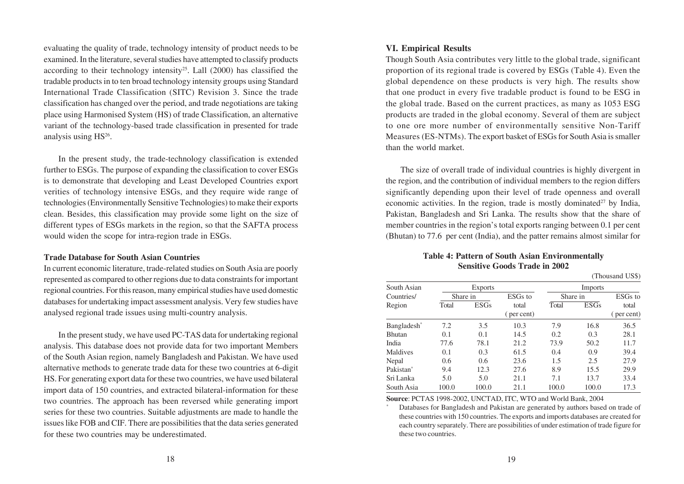evaluating the quality of trade, technology intensity of product needs to be examined. In the literature, several studies have attempted to classify products according to their technology intensity<sup>25</sup>. Lall  $(2000)$  has classified the tradable products in to ten broad technology intensity groups using Standard International Trade Classification (SITC) Revision 3. Since the trade classification has changed over the period, and trade negotiations are taking place using Harmonised System (HS) of trade Classification, an alternative variant of the technology-based trade classification in presented for trade analysis using  $HS<sup>26</sup>$ .

In the present study, the trade-technology classification is extended further to ESGs. The purpose of expanding the classification to cover ESGs is to demonstrate that developing and Least Developed Countries export verities of technology intensive ESGs, and they require wide range of technologies (Environmentally Sensitive Technologies) to make their exports clean. Besides, this classification may provide some light on the size of different types of ESGs markets in the region, so that the SAFTA process would widen the scope for intra-region trade in ESGs.

#### **Trade Database for South Asian Countries**

In current economic literature, trade-related studies on South Asia are poorly represented as compared to other regions due to data constraints for important regional countries. For this reason, many empirical studies have used domestic databases for undertaking impact assessment analysis. Very few studies have analysed regional trade issues using multi-country analysis.

In the present study, we have used PC-TAS data for undertaking regional analysis. This database does not provide data for two important Members of the South Asian region, namely Bangladesh and Pakistan. We have used alternative methods to generate trade data for these two countries at 6-digit HS. For generating export data for these two countries, we have used bilateral import data of 150 countries, and extracted bilateral-information for these two countries. The approach has been reversed while generating import series for these two countries. Suitable adjustments are made to handle the issues like FOB and CIF. There are possibilities that the data series generated for these two countries may be underestimated.

#### **VI. Empirical Results**

Though South Asia contributes very little to the global trade, significant proportion of its regional trade is covered by ESGs (Table 4). Even the global dependence on these products is very high. The results show that one product in every five tradable product is found to be ESG in the global trade. Based on the current practices, as many as 1053 ESG products are traded in the global economy. Several of them are subject to one ore more number of environmentally sensitive Non-Tariff Measures (ES-NTMs). The export basket of ESGs for South Asia is smaller than the world market.

The size of overall trade of individual countries is highly divergent in the region, and the contribution of individual members to the region differs significantly depending upon their level of trade openness and overall economic activities. In the region, trade is mostly dominated<sup>27</sup> by India, Pakistan, Bangladesh and Sri Lanka. The results show that the share of member countries in the region's total exports ranging between 0.1 per cent (Bhutan) to 77.6 per cent (India), and the patter remains almost similar for

# **Table 4: Pattern of South Asian Environmentally Sensitive Goods Trade in 2002**

(Thousand US\$)

| South Asian           |          | Exports     |                     |          | Imports     |            |
|-----------------------|----------|-------------|---------------------|----------|-------------|------------|
| Countries/            | Share in |             | ESG <sub>s</sub> to | Share in |             | ESGs to    |
| Region                | Total    | <b>ESGs</b> | total               | Total    | <b>ESGs</b> | total      |
|                       |          |             | (per cent)          |          |             | (per cent) |
| Bangladesh*           | 7.2      | 3.5         | 10.3                | 7.9      | 16.8        | 36.5       |
| <b>Bhutan</b>         | 0.1      | 0.1         | 14.5                | 0.2      | 0.3         | 28.1       |
| India                 | 77.6     | 78.1        | 21.2                | 73.9     | 50.2        | 11.7       |
| Maldives              | 0.1      | 0.3         | 61.5                | 0.4      | 0.9         | 39.4       |
| Nepal                 | 0.6      | 0.6         | 23.6                | 1.5      | 2.5         | 27.9       |
| Pakistan <sup>*</sup> | 9.4      | 12.3        | 27.6                | 8.9      | 15.5        | 29.9       |
| Sri Lanka             | 5.0      | 5.0         | 21.1                | 7.1      | 13.7        | 33.4       |
| South Asia            | 100.0    | 100.0       | 21.1                | 100.0    | 100.0       | 17.3       |

**Source**: PCTAS 1998-2002, UNCTAD, ITC, WTO and World Bank, 2004

Databases for Bangladesh and Pakistan are generated by authors based on trade of these countries with 150 countries. The exports and imports databases are created for each country separately. There are possibilities of under estimation of trade figure for these two countries.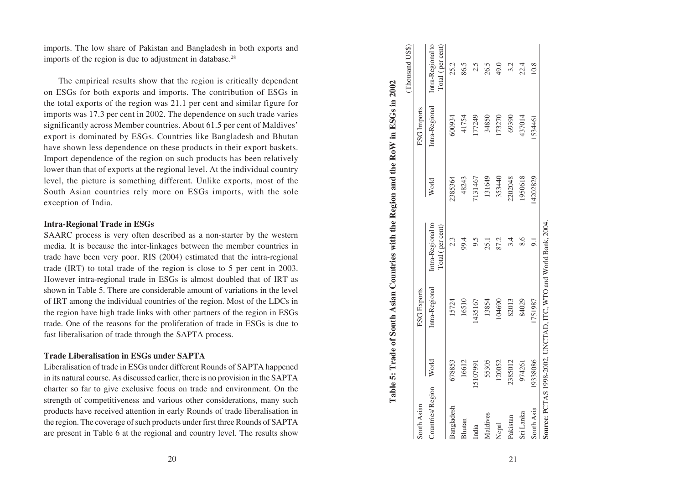imports. The low share of Pakistan and Bangladesh in both exports and imports of the region is due to adjustment in database. $28$ 

The empirical results show that the region is critically dependent on ESGs for both exports and imports. The contribution of ESGs in the total exports of the region was 21.1 per cent and similar figure for imports was 17.3 per cent in 2002. The dependence on such trade varies significantly across Member countries. About 61.5 per cent of Maldives' export is dominated by ESGs. Countries like Bangladesh and Bhutan have shown less dependence on these products in their export baskets. Import dependence of the region on such products has been relatively lower than that of exports at the regional level. At the individual country level, the picture is something different. Unlike exports, most of the South Asian countries rely more on ESGs imports, with the sole exception of India.

# **Intra-Regional Trade in ESGs**

SAARC process is very often described as a non-starter by the western media. It is because the inter-linkages between the member countries in trade have been very poor. RIS (2004) estimated that the intra-regional trade (IRT) to total trade of the region is close to 5 per cent in 2003. However intra-regional trade in ESGs is almost doubled that of IRT as shown in Table 5. There are considerable amount of variations in the level of IRT among the individual countries of the region. Most of the LDCs in the region have high trade links with other partners of the region in ESGs trade. One of the reasons for the proliferation of trade in ESGs is due to fast liberalisation of trade through the SAPTA process.

# **Trade Liberalisation in ESGs under SAPTA**

Liberalisation of trade in ESGs under different Rounds of SAPTA happened in its natural course. As discussed earlier, there is no provision in the SAPTA charter so far to give exclusive focus on trade and environment. On the strength of competitiveness and various other considerations, many such products have received attention in early Rounds of trade liberalisation in the region. The coverage of such products under first three Rounds of SAPTA are present in Table 6 at the regional and country level. The results show

| and Bangladesh in both exports and<br>tment in database. <sup>28</sup><br>at the region is critically dependent<br>ports. The contribution of ESGs in                                                                                       |                                                                                     | (Thousand US\$)    | Intra-Regional to<br>Total (per cent) | 25.2       | 86.5   | 2.5      | 26.5     | 49.0   | 3.2      |
|---------------------------------------------------------------------------------------------------------------------------------------------------------------------------------------------------------------------------------------------|-------------------------------------------------------------------------------------|--------------------|---------------------------------------|------------|--------|----------|----------|--------|----------|
| 21.1 per cent and similar figure for<br>The dependence on such trade varies<br>ies. About 61.5 per cent of Maldives'<br>untries like Bangladesh and Bhutan<br>ese products in their export baskets.<br>on such products has been relatively |                                                                                     | <b>ESG</b> Imports | Intra-Regional                        | 600934     | 41754  | 177249   | 34850    | 173270 | 69390    |
| ional level. At the individual country<br>fferent. Unlike exports, most of the<br>e on ESGs imports, with the sole                                                                                                                          |                                                                                     |                    | World                                 | 2385364    | 48243  | 7131467  | 131649   | 353440 | 2202048  |
| ribed as a non-starter by the western<br>ges between the member countries in<br>004) estimated that the intra-regional<br>egion is close to 5 per cent in 2003.                                                                             | Table 5: Trade of South Asian Countries with the Region and the RoW in ESGs in 2002 |                    | Intra-Regional to<br>Total (per cent) | 2.3        | 99.4   | 9.5      | 25.1     | 87.2   | 3.4      |
| Gs is almost doubled that of IRT as<br>rable amount of variations in the level<br>les of the region. Most of the LDCs in<br>n other partners of the region in ESGs<br>oliferation of trade in ESGs is due to<br>ne SAPTA process.           |                                                                                     | <b>ESG Exports</b> | Intra-Regional                        | 15724      | 16510  | 1435167  | 13854    | 104690 | 82013    |
| er SAPTA<br>different Rounds of SAPTA happened<br>lier, there is no provision in the SAPTA<br>us on trade and environment. On the<br>tious other considerations, many such                                                                  |                                                                                     |                    | World                                 | 678853     | 16612  | 15107991 | 55305    | 120052 | 2385012  |
| early Rounds of trade liberalisation in<br>ucts under first three Rounds of SAPTA<br>al and country level. The results show                                                                                                                 |                                                                                     | South Asian        | Countries/Region                      | Bangladesh | Bhutan | India    | Maldives | Nepal  | Pakistan |
| 20                                                                                                                                                                                                                                          |                                                                                     |                    |                                       |            |        |          |          |        | 21       |

s.m.k.a 120261 8190961 9.6 8.6 202078 9.6 197476 8.6 1974 South Asia 193388086 1751987 1750.1 14202820808 14202829 1534461 16.8 4202829  $\overline{9}$ . 751987 19338086 South Asia Sri Lanka

10.8

534461

Source: PCTAS 1998-2002, UNCTAD, ITC, WTO and World Bank, 2004. **Source**: PCTAS 1998-2002, UNCTAD, ITC, WTO and World Bank, 2004.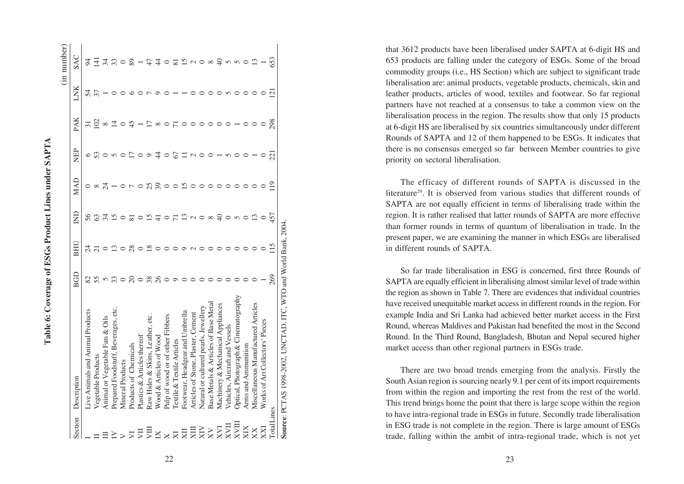|                            |                                                                |                 |               |                 |                |                          |          |                          | (in number)    |
|----------------------------|----------------------------------------------------------------|-----------------|---------------|-----------------|----------------|--------------------------|----------|--------------------------|----------------|
| Section                    | Description                                                    | BGD             | ВНІ           | $\Xi$           | MAD            | NEP                      | PAK      | LNK                      | SAC            |
|                            | Live Animals and Animal Products                               | 82              |               | 56              |                |                          |          | 54                       | र्द            |
|                            | Vegetable Products                                             | 55              |               | 63              | $\infty$       | 53                       | $\Xi$    | 37                       | 크              |
|                            | Animal or Vegetable Fats & Oils                                | $\Omega$        |               | र्न             | $\overline{c}$ |                          | $\infty$ |                          | 34             |
|                            | Prepared Foodstuff, Beverages, etc.                            |                 | ഇ             | $\overline{15}$ |                | 5                        | 그        |                          | 33             |
|                            | <b>Mineral Products</b>                                        | $\circ$         |               |                 |                |                          |          |                          |                |
| $\overline{\triangledown}$ | Products of Chemicals                                          | $\Omega$        | 28            | ವ               |                |                          | ₩        |                          | 89             |
| 買                          | Plastics & Articles thereof                                    | $\circ$         | $\circ$       | $\circ$         |                |                          |          |                          |                |
| JШ                         | Raw Hides & Skins, Leather, etc.                               | 38              | $\frac{8}{2}$ | 15              | 25             | $\circ$                  |          |                          |                |
| $\overline{M}$             | Wood & Articles of Wood                                        | $\overline{26}$ |               |                 | 39             | 4                        | $\infty$ |                          |                |
| $\times$                   | Pulp of wood or of other Fibbers                               | $\circ$         |               | $\circ$         | $\circ$        | $\circ$                  |          |                          |                |
| $\overline{\mathbf{X}}$    | Textile & Textile Articles                                     | $\circ$         |               | Ξ               | $\circ$        | 67                       |          |                          | $\overline{8}$ |
| ZЦ                         | Footwear, Headgear and Umbrella                                | $\circ$         |               | ≌               | 51             |                          |          |                          | 15             |
| $\overline{K}$             | Articles of Stone, Plaster, Cement                             |                 |               | $\sim$          |                | $\mathcal{L}$            |          |                          | $\sim$         |
| $\overline{\text{X}}$      | Natural or cultured pearls, Jewellery                          |                 |               | $\circ$         |                |                          |          |                          | $\circ$        |
|                            | Base Metals & Articles of Base Metal                           |                 |               | $\infty$        |                |                          |          |                          | $\infty$       |
| <b>IAX</b>                 | Machinery & Mechanical Appliances                              |                 |               | $\Theta$        |                |                          |          |                          | $\overline{+}$ |
| XVII                       | Vehicles, Aircraft and Vessels                                 |                 |               | $\circ$         |                | $\sigma$                 | $\circ$  |                          |                |
| <b>HAX</b>                 | Optical, Photograph & Cinematography                           |                 |               | $\sigma$        | ○              |                          |          |                          | n w            |
| XIX                        | Arms and Ammunition                                            |                 |               | $\circ$         |                | $\circ$                  | $\circ$  |                          | $\circ$        |
| XX                         | Miscellaneous Manufactured Articles                            |                 |               | $\Xi$           |                |                          |          |                          | ≌              |
| KX                         | Works of Art Collectors' Pieces                                |                 |               | $\circ$         |                | $\circ$                  |          |                          |                |
| <b>Total Lines</b>         |                                                                | 269             |               | 457             | $\overline{1}$ | $\overline{\mathcal{C}}$ | 298      | $\overline{\mathcal{C}}$ | 653            |
|                            | Source: PCTAS 1998-2002, UNCTAD, ITC, WTO and World Bank, 2004 |                 |               |                 |                |                          |          |                          |                |

 $22$  23

that 3612 products have been liberalised under SAPTA at 6-digit HS and 653 products are falling under the category of ESGs. Some of the broad commodity groups (i.e., HS Section) which are subject to significant trade liberalisation are: animal products, vegetable products, chemicals, skin and leather products, articles of wood, textiles and footwear. So far regional partners have not reached at a consensus to take a common view on the liberalisation process in the region. The results show that only 15 products at 6-digit HS are liberalised by six countries simultaneously under different Rounds of SAPTA and 12 of them happened to be ESGs. It indicates that there is no consensus emerged so far between Member countries to give priority on sectoral liberalisation.

The efficacy of different rounds of SAPTA is discussed in the literature29. It is observed from various studies that different rounds of SAPTA are not equally efficient in terms of liberalising trade within the region. It is rather realised that latter rounds of SAPTA are more effective than former rounds in terms of quantum of liberalisation in trade. In the present paper, we are examining the manner in which ESGs are liberalised in different rounds of SAPTA.

So far trade liberalisation in ESG is concerned, first three Rounds of SAPTA are equally efficient in liberalising almost similar level of trade within the region as shown in Table 7. There are evidences that individual countries have received unequitable market access in different rounds in the region. For example India and Sri Lanka had achieved better market access in the First Round, whereas Maldives and Pakistan had benefited the most in the Second Round. In the Third Round, Bangladesh, Bhutan and Nepal secured higher market access than other regional partners in ESGs trade.

There are two broad trends emerging from the analysis. Firstly the South Asian region is sourcing nearly 9.1 per cent of its import requirements from within the region and importing the rest from the rest of the world. This trend brings home the point that there is large scope within the region to have intra-regional trade in ESGs in future. Secondly trade liberalisation in ESG trade is not complete in the region. There is large amount of ESGs trade, falling within the ambit of intra-regional trade, which is not yet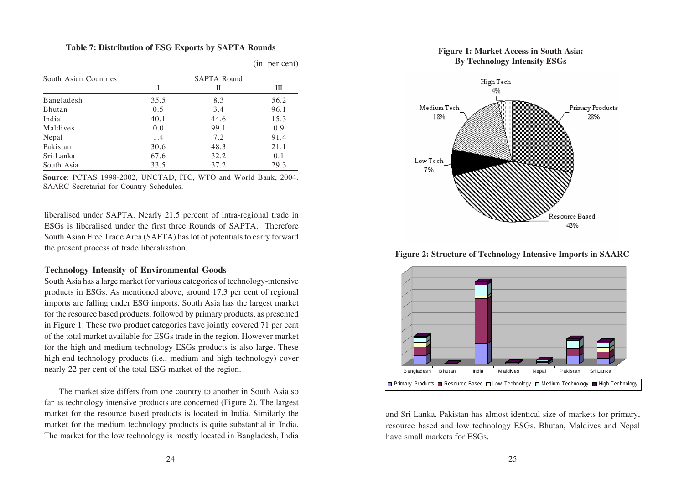#### **Table 7: Distribution of ESG Exports by SAPTA Rounds**

| South Asian Countries |      | <b>SAPTA Round</b> |      |
|-----------------------|------|--------------------|------|
|                       | L    | П                  | Ш    |
| Bangladesh            | 35.5 | 8.3                | 56.2 |
| <b>Bhutan</b>         | 0.5  | 3.4                | 96.1 |
| India                 | 40.1 | 44.6               | 15.3 |
| Maldives              | 0.0  | 99.1               | 0.9  |
| Nepal                 | 1.4  | 7.2                | 91.4 |
| Pakistan              | 30.6 | 48.3               | 21.1 |
| Sri Lanka             | 67.6 | 32.2               | 0.1  |
| South Asia            | 33.5 | 37.2               | 29.3 |

(in per cent)

**Source**: PCTAS 1998-2002, UNCTAD, ITC, WTO and World Bank, 2004. SAARC Secretariat for Country Schedules.

liberalised under SAPTA. Nearly 21.5 percent of intra-regional trade in ESGs is liberalised under the first three Rounds of SAPTA. Therefore South Asian Free Trade Area (SAFTA) has lot of potentials to carry forward the present process of trade liberalisation.

# **Technology Intensity of Environmental Goods**

South Asia has a large market for various categories of technology-intensive products in ESGs. As mentioned above, around 17.3 per cent of regional imports are falling under ESG imports. South Asia has the largest market for the resource based products, followed by primary products, as presented in Figure 1. These two product categories have jointly covered 71 per cent of the total market available for ESGs trade in the region. However market for the high and medium technology ESGs products is also large. These high-end-technology products (i.e., medium and high technology) cover nearly 22 per cent of the total ESG market of the region.

The market size differs from one country to another in South Asia so far as technology intensive products are concerned (Figure 2). The largest market for the resource based products is located in India. Similarly the market for the medium technology products is quite substantial in India. The market for the low technology is mostly located in Bangladesh, India





**Figure 2: Structure of Technology Intensive Imports in SAARC**



and Sri Lanka. Pakistan has almost identical size of markets for primary, resource based and low technology ESGs. Bhutan, Maldives and Nepal have small markets for ESGs.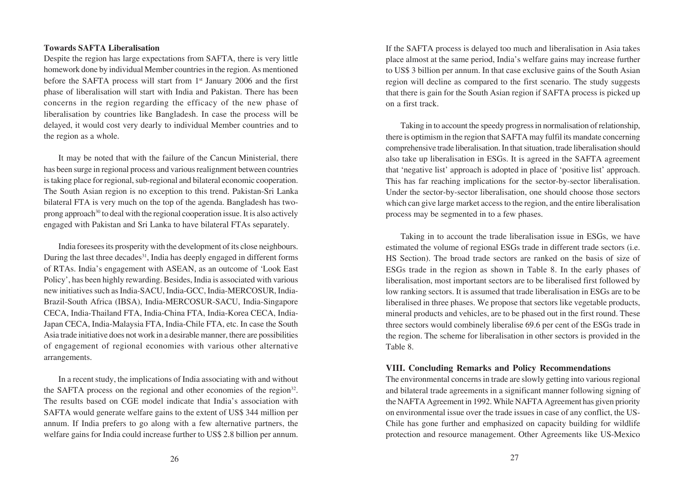# **Towards SAFTA Liberalisation**

Despite the region has large expectations from SAFTA, there is very little homework done by individual Member countries in the region. As mentioned before the SAFTA process will start from 1<sup>st</sup> January 2006 and the first phase of liberalisation will start with India and Pakistan. There has been concerns in the region regarding the efficacy of the new phase of liberalisation by countries like Bangladesh. In case the process will be delayed, it would cost very dearly to individual Member countries and to the region as a whole.

It may be noted that with the failure of the Cancun Ministerial, there has been surge in regional process and various realignment between countries is taking place for regional, sub-regional and bilateral economic cooperation. The South Asian region is no exception to this trend. Pakistan-Sri Lanka bilateral FTA is very much on the top of the agenda. Bangladesh has twoprong approach30 to deal with the regional cooperation issue. It is also actively engaged with Pakistan and Sri Lanka to have bilateral FTAs separately.

India foresees its prosperity with the development of its close neighbours. During the last three decades<sup>31</sup>, India has deeply engaged in different forms of RTAs. India's engagement with ASEAN, as an outcome of 'Look East Policy', has been highly rewarding. Besides, India is associated with various new initiatives such as India-SACU, India-GCC, India-MERCOSUR, India-Brazil-South Africa (IBSA), India-MERCOSUR-SACU, India-Singapore CECA, India-Thailand FTA, India-China FTA, India-Korea CECA, India-Japan CECA, India-Malaysia FTA, India-Chile FTA, etc. In case the South Asia trade initiative does not work in a desirable manner, there are possibilities of engagement of regional economies with various other alternative arrangements.

In a recent study, the implications of India associating with and without the SAFTA process on the regional and other economies of the region<sup>32</sup>. The results based on CGE model indicate that India's association with SAFTA would generate welfare gains to the extent of US\$ 344 million per annum. If India prefers to go along with a few alternative partners, the welfare gains for India could increase further to US\$ 2.8 billion per annum. If the SAFTA process is delayed too much and liberalisation in Asia takes place almost at the same period, India's welfare gains may increase further to US\$ 3 billion per annum. In that case exclusive gains of the South Asian region will decline as compared to the first scenario. The study suggests that there is gain for the South Asian region if SAFTA process is picked up on a first track.

Taking in to account the speedy progress in normalisation of relationship, there is optimism in the region that SAFTA may fulfil its mandate concerning comprehensive trade liberalisation. In that situation, trade liberalisation should also take up liberalisation in ESGs. It is agreed in the SAFTA agreement that 'negative list' approach is adopted in place of 'positive list' approach. This has far reaching implications for the sector-by-sector liberalisation. Under the sector-by-sector liberalisation, one should choose those sectors which can give large market access to the region, and the entire liberalisation process may be segmented in to a few phases.

Taking in to account the trade liberalisation issue in ESGs, we have estimated the volume of regional ESGs trade in different trade sectors (i.e. HS Section). The broad trade sectors are ranked on the basis of size of ESGs trade in the region as shown in Table 8. In the early phases of liberalisation, most important sectors are to be liberalised first followed by low ranking sectors. It is assumed that trade liberalisation in ESGs are to be liberalised in three phases. We propose that sectors like vegetable products, mineral products and vehicles, are to be phased out in the first round. These three sectors would combinely liberalise 69.6 per cent of the ESGs trade in the region. The scheme for liberalisation in other sectors is provided in the Table 8.

# **VIII. Concluding Remarks and Policy Recommendations**

The environmental concerns in trade are slowly getting into various regional and bilateral trade agreements in a significant manner following signing of the NAFTA Agreement in 1992. While NAFTA Agreement has given priority on environmental issue over the trade issues in case of any conflict, the US-Chile has gone further and emphasized on capacity building for wildlife protection and resource management. Other Agreements like US-Mexico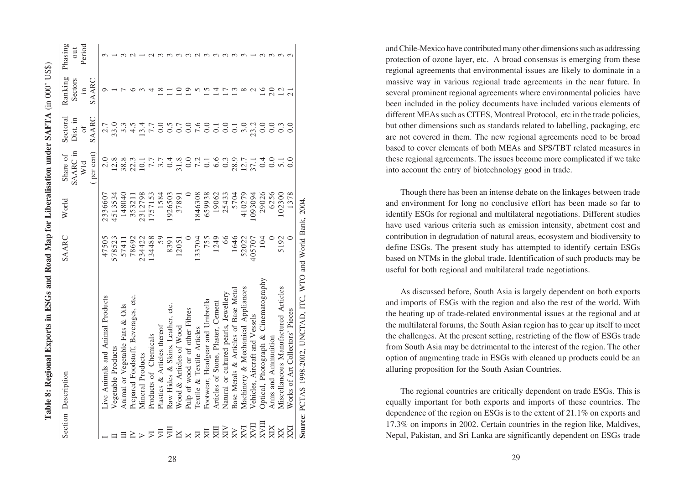|                             | Section Description                   | SAARC  | World   | Share of                                                           | Sectoral           | Ranking                 | Phasing |
|-----------------------------|---------------------------------------|--------|---------|--------------------------------------------------------------------|--------------------|-------------------------|---------|
|                             |                                       |        |         | SAARC in                                                           | Dist. in           | Sectors                 | out     |
|                             |                                       |        |         | Wld                                                                | $\sigma$ f         | $\overline{\mathbf{n}}$ | Period  |
|                             |                                       |        |         | (per cent)                                                         | SAARC              | SAARC                   |         |
|                             | Live Animals and Animal Products      | 47505  | 2336607 |                                                                    | 2.7                | ⌒                       |         |
|                             | Vegetable Products                    | 578523 | 4513534 | 12.8                                                               | 33.0               |                         |         |
|                             | Animal or Vegetable Fats & Oils       | 57411  | 148040  | 38.8                                                               | $3.\overline{3}$   |                         |         |
|                             | Prepared Foodstuff, Beverages, etc.   | 78692  | 35321   | 22.3                                                               | $\ddot{4}$ .5      |                         |         |
| $\geq$                      | Mineral Products                      | 234422 | 2312798 |                                                                    | 3.4                |                         |         |
| $\overline{\triangleright}$ | Products of Chemicals                 | 134488 | 1757153 | $\begin{array}{c} 10.1 \\ 7.7 \\ 3.7 \\ 0.4 \\ 5.7 \\ \end{array}$ | 7.7                |                         |         |
| JЦ                          | Plastics & Articles thereof           | 59     | 1584    |                                                                    | 0.0                |                         |         |
| 買                           | Raw Hides & Skins, Leather, etc.      | 8391   | 1926503 |                                                                    | $\widetilde{0}$ .5 |                         |         |
| $\overline{\mathbb{X}}$     | Wood & Articles of Wood               | 12051  | 37891   |                                                                    | 0.7                |                         |         |
| $\times$                    | Pulp of wood or of other Fibres       |        |         | 0.0                                                                | 0.0                |                         |         |
| $\overline{\mathbb{R}}$     | Textile & Textile Articles            | 133704 | 846308  |                                                                    | 7.6                |                         |         |
| 反                           | Footwear, Headgear and Umbrella       | 755    | 659938  | $7.\overline{3}$<br>$0.\overline{3}$<br>$0.\overline{3}$           | 0.0                |                         |         |
| ЩX                          | Articles of Stone, Plaster, Cement    | 1249   | 19062   |                                                                    | $\overline{0}$ .   |                         |         |
| XIX                         | Natural or cultured pearls, Jewellery | 66     | 25433   | 0.3                                                                | 0.0                |                         |         |
| $\overline{\mathsf{X}}$     | Base Metals & Articles of Base Metal  | 1646   | 5704    | 28.9<br>12.7<br>37.1                                               | $\overline{0}$ .   |                         |         |
| N <sub>1</sub>              | Machinery & Mechanical Appliances     | 52022  | 410279  |                                                                    | 3.0                |                         |         |
| HNX                         | Vehicles, Aircraft and Vessels        | 405707 | 093094  |                                                                    | 23.2               | c<br>₹                  |         |
| KVIII                       | Optical, Photograph & Cinematography  | 104    | 29026   | 0.0                                                                | 0.0                | $\overline{16}$         |         |
| XIX                         | Arms and Ammunition                   |        | 6256    |                                                                    | 0.0                | 20                      |         |
| $\overline{X}$              | Miscellaneous Manufactured Articles   | 5192   | 02300   | $\overline{5}$ .                                                   | 0.3                | 12                      |         |
| IXX                         | Works of Art Collectors' Pieces       |        | 1378    | 0.0                                                                | 0.0                | $\overline{c}$          |         |

**Source**: PCTAS 1998-2002, UNCTAD, ITC, WTO and World Bank, 2004.

Source: PCTAS 1998-2002, UNCTAD, ITC, WTO and World Bank, 2004.

Table 8: Regional Exports in ESGs and Road Map for Liberalisation under SAFTA (in 000' US\$) **Table 8: Regional Exports in ESGs and Road Map for Liberalisation under SAFTA** (in 000' US\$)

and Chile-Mexico have contributed many other dimensions such as addressing protection of ozone layer, etc. A broad consensus is emerging from these regional agreements that environmental issues are likely to dominate in a massive way in various regional trade agreements in the near future. In several prominent regional agreements where environmental policies have been included in the policy documents have included various elements of different MEAs such as CITES, Montreal Protocol, etc in the trade policies, but other dimensions such as standards related to labelling, packaging, etc are not covered in them. The new regional agreements need to be broad based to cover elements of both MEAs and SPS/TBT related measures in these regional agreements. The issues become more complicated if we take into account the entry of biotechnology good in trade.

Though there has been an intense debate on the linkages between trade and environment for long no conclusive effort has been made so far to identify ESGs for regional and multilateral negotiations. Different studies have used various criteria such as emission intensity, abetment cost and contribution in degradation of natural areas, ecosystem and biodiversity to define ESGs. The present study has attempted to identify certain ESGs based on NTMs in the global trade. Identification of such products may be useful for both regional and multilateral trade negotiations.

As discussed before, South Asia is largely dependent on both exports and imports of ESGs with the region and also the rest of the world. With the heating up of trade-related environmental issues at the regional and at the multilateral forums, the South Asian region has to gear up itself to meet the challenges. At the present setting, restricting of the flow of ESGs trade from South Asia may be detrimental to the interest of the region. The other option of augmenting trade in ESGs with cleaned up products could be an alluring proposition for the South Asian Countries.

The regional countries are critically dependent on trade ESGs. This is equally important for both exports and imports of these countries. The dependence of the region on ESGs is to the extent of 21.1% on exports and 17.3% on imports in 2002. Certain countries in the region like, Maldives, Nepal, Pakistan, and Sri Lanka are significantly dependent on ESGs trade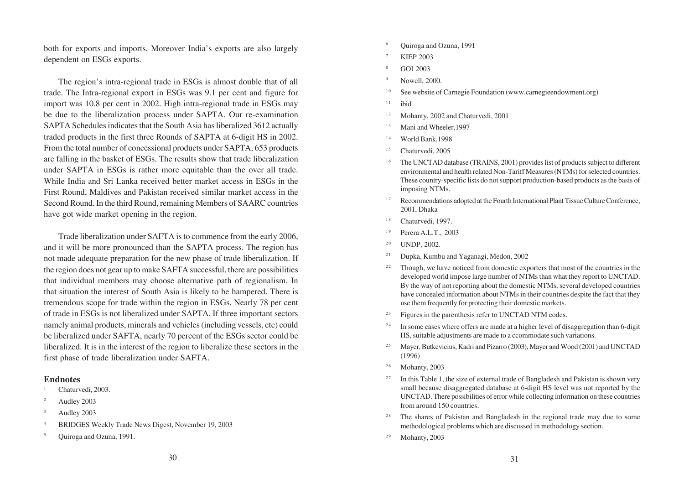both for exports and imports. Moreover India's exports are also largely dependent on ESGs exports.

The region's intra-regional trade in ESGs is almost double that of all trade. The Intra-regional export in ESGs was 9.1 per cent and figure for import was 10.8 per cent in 2002. High intra-regional trade in ESGs may be due to the liberalization process under SAPTA. Our re-examination SAPTA Schedules indicates that the South Asia has liberalized 3612 actually traded products in the first three Rounds of SAPTA at 6-digit HS in 2002. From the total number of concessional products under SAPTA, 653 products are falling in the basket of ESGs. The results show that trade liberalization under SAPTA in ESGs is rather more equitable than the over all trade. While India and Sri Lanka received better market access in ESGs in the First Round, Maldives and Pakistan received similar market access in the Second Round. In the third Round, remaining Members of SAARC countries have got wide market opening in the region.

Trade liberalization under SAFTA is to commence from the early 2006, and it will be more pronounced than the SAPTA process. The region has not made adequate preparation for the new phase of trade liberalization. If the region does not gear up to make SAFTA successful, there are possibilities that individual members may choose alternative path of regionalism. In that situation the interest of South Asia is likely to be hampered. There is tremendous scope for trade within the region in ESGs. Nearly 78 per cent of trade in ESGs is not liberalized under SAPTA. If three important sectors namely animal products, minerals and vehicles (including vessels, etc) could be liberalized under SAFTA, nearly 70 percent of the ESGs sector could be liberalized. It is in the interest of the region to liberalize these sectors in the first phase of trade liberalization under SAFTA.

#### **Endnotes**

- Chaturvedi, 2003.
- <sup>2</sup> Audley 2003
- <sup>3</sup> Audley 2003
- <sup>4</sup> BRIDGES Weekly Trade News Digest, November 19, 2003
- <sup>5</sup> Ouiroga and Ozuna, 1991.
- <sup>6</sup> Quiroga and Ozuna, 1991
- **KIEP 2003**
- <sup>8</sup> GOI 2003
- Nowell, 2000.
- <sup>10</sup> See website of Carnegie Foundation (www.carnegieendowment.org)
- $11$  ibid
- <sup>12</sup> Mohanty, 2002 and Chaturvedi, 2001
- <sup>13</sup> Mani and Wheeler, 1997
- $14$  World Bank, 1998
- $^{15}$  Chaturvedi, 2005
- <sup>16</sup> The UNCTAD database (TRAINS, 2001) provides list of products subject to different environmental and health related Non-Tariff Measures (NTMs) for selected countries. These country-specific lists do not support production-based products as the basis of imposing NTMs.
- <sup>17</sup> Recommendations adopted at the Fourth International Plant Tissue Culture Conference, 2001, Dhaka
- <sup>18</sup> Chaturvedi, 1997.
- $19$  Perera A.L.T., 2003
- $20$  UNDP, 2002.
- <sup>21</sup> Dupka, Kumbu and Yaganagi, Medon, 2002
- <sup>22</sup> Though, we have noticed from domestic exporters that most of the countries in the developed world impose large number of NTMs than what they report to UNCTAD. By the way of not reporting about the domestic NTMs, several developed countries have concealed information about NTMs in their countries despite the fact that they use them frequently for protecting their domestic markets.
- <sup>23</sup> Figures in the parenthesis refer to UNCTAD NTM codes.
- $24$  In some cases where offers are made at a higher level of disaggregation than 6-digit HS, suitable adjustments are made to a ccommodate such variations.
- <sup>25</sup> Mayer, Butkevicius, Kadri and Pizarro (2003), Mayer and Wood (2001) and UNCTAD (1996)
- $26$  Mohanty, 2003
- <sup>27</sup> In this Table 1, the size of external trade of Bangladesh and Pakistan is shown very small because disaggregated database at 6-digit HS level was not reported by the UNCTAD. There possibilities of error while collecting information on these countries from around 150 countries.
- <sup>28</sup> The shares of Pakistan and Bangladesh in the regional trade may due to some methodological problems which are discussed in methodology section.
- $29$  Mohanty, 2003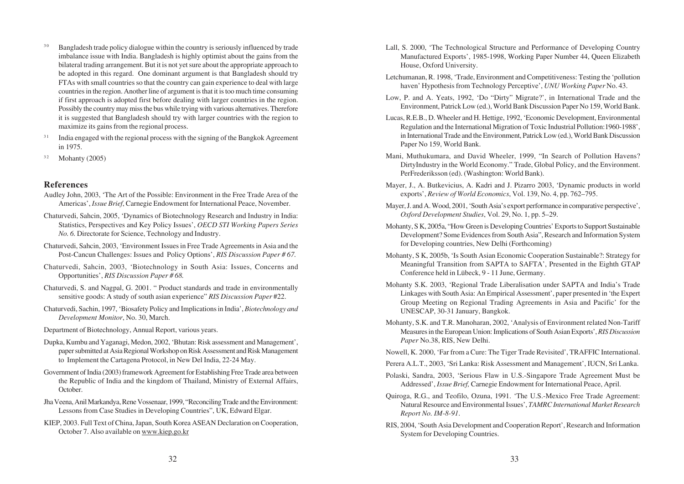- <sup>30</sup> Bangladesh trade policy dialogue within the country is seriously influenced by trade imbalance issue with India. Bangladesh is highly optimist about the gains from the bilateral trading arrangement. But it is not yet sure about the appropriate approach to be adopted in this regard. One dominant argument is that Bangladesh should try FTAs with small countries so that the country can gain experience to deal with large countries in the region. Another line of argument is that it is too much time consuming if first approach is adopted first before dealing with larger countries in the region. Possibly the country may miss the bus while trying with various alternatives. Therefore it is suggested that Bangladesh should try with larger countries with the region to maximize its gains from the regional process.
- <sup>31</sup> India engaged with the regional process with the signing of the Bangkok Agreement in 1975.
- $32$  Mohanty (2005)

# **References**

- Audley John, 2003, 'The Art of the Possible: Environment in the Free Trade Area of the Americas', *Issue Brief*, Carnegie Endowment for International Peace, November.
- Chaturvedi, Sahcin, 2005, 'Dynamics of Biotechnology Research and Industry in India: Statistics, Perspectives and Key Policy Issues', *OECD STI Working Papers Series No. 6.* Directorate for Science, Technology and Industry.
- Chaturvedi, Sahcin, 2003, 'Environment Issues in Free Trade Agreements in Asia and the Post-Cancun Challenges: Issues and Policy Options', *RIS Discussion Paper # 67.*
- Chaturvedi, Sahcin, 2003, 'Biotechnology in South Asia: Issues, Concerns and Opportunities', *RIS Discussion Paper # 68.*
- Chaturvedi, S. and Nagpal, G. 2001. " Product standards and trade in environmentally sensitive goods: A study of south asian experience" *RIS Discussion Paper* #22.
- Chaturvedi, Sachin, 1997, 'Biosafety Policy and Implications in India', *Biotechnology and Development Monitor*, No. 30, March.
- Department of Biotechnology, Annual Report, various years.
- Dupka, Kumbu and Yaganagi, Medon, 2002, 'Bhutan: Risk assessment and Management', paper submitted at Asia Regional Workshop on Risk Assessment and Risk Management to Implement the Cartagena Protocol, in New Del India, 22-24 May.
- Government of India (2003) framework Agreement for Establishing Free Trade area between the Republic of India and the kingdom of Thailand, Ministry of External Affairs, October.
- Jha Veena, Anil Markandya, Rene Vossenaar, 1999, "Reconciling Trade and the Environment: Lessons from Case Studies in Developing Countries", UK, Edward Elgar.
- KIEP, 2003. Full Text of China, Japan, South Korea ASEAN Declaration on Cooperation, October 7. Also available on www.kiep.go.kr
- Lall, S. 2000, 'The Technological Structure and Performance of Developing Country Manufactured Exports', 1985-1998, Working Paper Number 44, Queen Elizabeth House, Oxford University.
- Letchumanan, R. 1998, 'Trade, Environment and Competitiveness: Testing the 'pollution haven' Hypothesis from Technology Perceptive', *UNU Working Paper* No. 43.
- Low, P. and A. Yeats, 1992, 'Do "Dirty" Migrate?', in International Trade and the Environment, Patrick Low (ed.), World Bank Discussion Paper No 159, World Bank.
- Lucas, R.E.B., D. Wheeler and H. Hettige, 1992, 'Economic Development, Environmental Regulation and the International Migration of Toxic Industrial Pollution:1960-1988', in International Trade and the Environment, Patrick Low (ed.), World Bank Discussion Paper No 159, World Bank.
- Mani, Muthukumara, and David Wheeler, 1999, "In Search of Pollution Havens? DirtyIndustry in the World Economy." Trade, Global Policy, and the Environment. PerFrederiksson (ed). (Washington: World Bank).
- Mayer, J., A. Butkevicius, A. Kadri and J. Pizarro 2003, 'Dynamic products in world exports', *Review of World Economics*, Vol. 139, No. 4, pp. 762–795.
- Mayer, J. and A. Wood, 2001, 'South Asia's export performance in comparative perspective', *Oxford Development Studies*, Vol. 29, No. 1, pp. 5–29.
- Mohanty, S K, 2005a, "How Green is Developing Countries' Exports to Support Sustainable Development? Some Evidences from South Asia", Research and Information System for Developing countries, New Delhi (Forthcoming)
- Mohanty, S K, 2005b, 'Is South Asian Economic Cooperation Sustainable?: Strategy for Meaningful Transition from SAPTA to SAFTA', Presented in the Eighth GTAP Conference held in Lübeck, 9 - 11 June, Germany.
- Mohanty S.K. 2003, 'Regional Trade Liberalisation under SAPTA and India's Trade Linkages with South Asia: An Empirical Assessment', paper presented in 'the Expert Group Meeting on Regional Trading Agreements in Asia and Pacific' for the UNESCAP, 30-31 January, Bangkok.
- Mohanty, S.K. and T.R. Manoharan, 2002, 'Analysis of Environment related Non-Tariff Measures in the European Union: Implications of South Asian Exports', *RIS Discussion Paper* No.38, RIS, New Delhi.

Nowell, K. 2000, 'Far from a Cure: The Tiger Trade Revisited', TRAFFIC International.

- Perera A.L.T., 2003, 'Sri Lanka: Risk Assessment and Management', IUCN, Sri Lanka.
- Polaski, Sandra, 2003, 'Serious Flaw in U.S.-Singapore Trade Agreement Must be Addressed', *Issue Brief,* Carnegie Endowment for International Peace, April.
- Quiroga, R.G., and Teofilo, Ozuna, 1991. 'The U.S.-Mexico Free Trade Agreement: Natural Resource and Environmental Issues', *TAMRC International Market Research Report No. IM-8-91*.
- RIS, 2004, 'South Asia Development and Cooperation Report', Research and Information System for Developing Countries.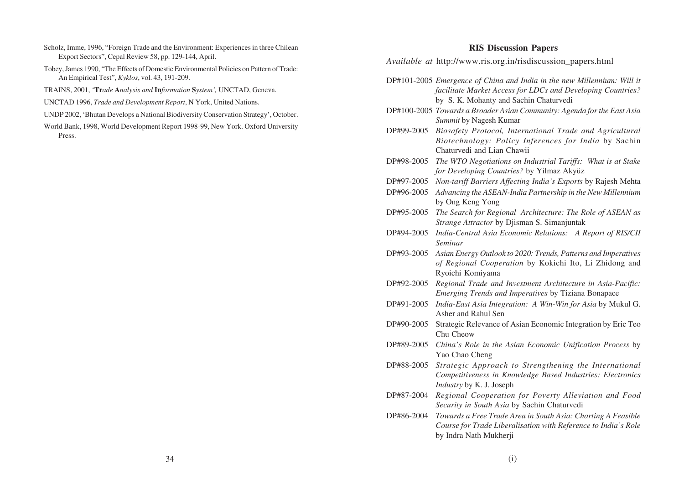- Scholz, Imme, 1996, "Foreign Trade and the Environment: Experiences in three Chilean Export Sectors", Cepal Review 58, pp. 129-144, April.
- Tobey, James 1990, "The Effects of Domestic Environmental Policies on Pattern of Trade: An Empirical Test", *Kyklos*, vol. 43, 191-209.
- TRAINS, 2001, '**Tr***ade* **A***nalysis and* **In***formation* **S***ystem',* UNCTAD, Geneva.
- UNCTAD 1996, *Trade and Development Report*, N York, United Nations.
- UNDP 2002, 'Bhutan Develops a National Biodiversity Conservation Strategy', October.
- World Bank, 1998, World Development Report 1998-99, New York. Oxford University Press.

#### **RIS Discussion Papers**

*Available at* http://www.ris.org.in/risdiscussion\_papers.html

- DP#101-2005 *Emergence of China and India in the new Millennium: Will it facilitate Market Access for LDCs and Developing Countries?* by S. K. Mohanty and Sachin Chaturvedi
- DP#100-2005 *Towards a Broader Asian Community: Agenda for the East Asia Summit* by Nagesh Kumar
- DP#99-2005 *Biosafety Protocol, International Trade and Agricultural Biotechnology: Policy Inferences for India* by Sachin Chaturvedi and Lian Chawii
- DP#98-2005 *The WTO Negotiations on Industrial Tariffs: What is at Stake for Developing Countries?* by Yilmaz Akyüz
- DP#97-2005 *Non-tariff Barriers Affecting India's Exports* by Rajesh Mehta
- DP#96-2005 *Advancing the ASEAN-India Partnership in the New Millennium* by Ong Keng Yong
- DP#95-2005 *The Search for Regional Architecture: The Role of ASEAN as Strange Attractor* by Djisman S. Simanjuntak
- DP#94-2005 *India-Central Asia Economic Relations: A Report of RIS/CII Seminar*
- DP#93-2005 *Asian Energy Outlook to 2020: Trends, Patterns and Imperatives of Regional Cooperation* by Kokichi Ito, Li Zhidong and Ryoichi Komiyama
- DP#92-2005 *Regional Trade and Investment Architecture in Asia-Pacific: Emerging Trends and Imperatives* by Tiziana Bonapace
- DP#91-2005 *India-East Asia Integration: A Win-Win for Asia* by Mukul G. Asher and Rahul Sen
- DP#90-2005 Strategic Relevance of Asian Economic Integration by Eric Teo Chu Cheow
- DP#89-2005 *China's Role in the Asian Economic Unification Process* by Yao Chao Cheng
- DP#88-2005 *Strategic Approach to Strengthening the International Competitiveness in Knowledge Based Industries: Electronics Industry* by K. J. Joseph
- DP#87-2004 *Regional Cooperation for Poverty Alleviation and Food Security in South Asia* by Sachin Chaturvedi
- DP#86-2004 *Towards a Free Trade Area in South Asia: Charting A Feasible Course for Trade Liberalisation with Reference to India's Role* by Indra Nath Mukherji